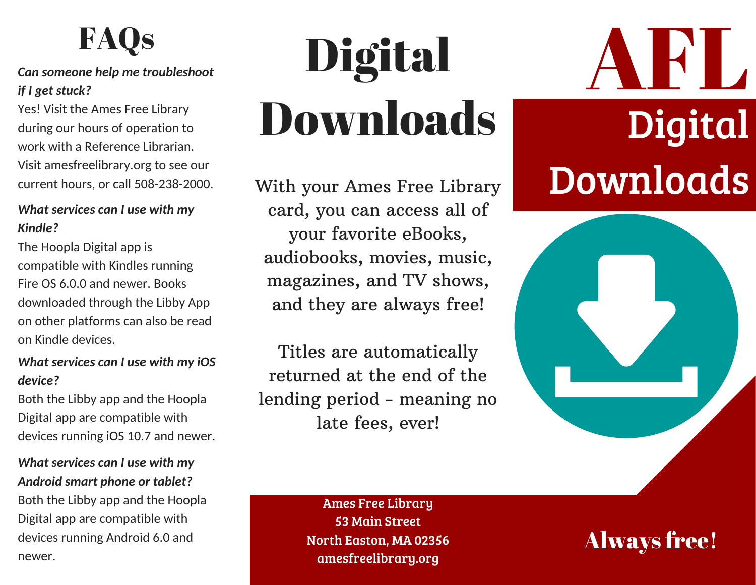### **FAQs**

### *Can someone help me troubleshoot if I get stuck?*

Yes! Visit the Ames Free Library during our hours of operation to work with a Reference Librarian. Visit amesfreelibrary.org to see our current hours, or call 508-238-2000.

#### *What services can I use with my Kindle?*

The Hoopla Digital app is compatible with Kindles running Fire OS 6.0.0 and newer. Books downloaded through the Libby App on other platforms can also be read on Kindle devices.

### *What services can I use with my iOS device?*

Both the Libby app and the Hoopla Digital app are compatible with devices running iOS 10.7 and newer.

#### *What services can I use with my Android smart phone or tablet?*

Both the Libby app and the Hoopla Digital app are compatible with devices running Android 6.0 and newer.

# Digital Downloads

With your Ames Free Library card, you can access all of your favorite eBooks, audiobooks, movies, music, magazines, and TV shows, and they are always free!

Titles are automatically returned at the end of the lending period - meaning no late fees, ever!

AFL Digital Downloads

Ames Free Library 53 Main Street North Easton, MA 02356 amesfreelibrary.org

Always free!